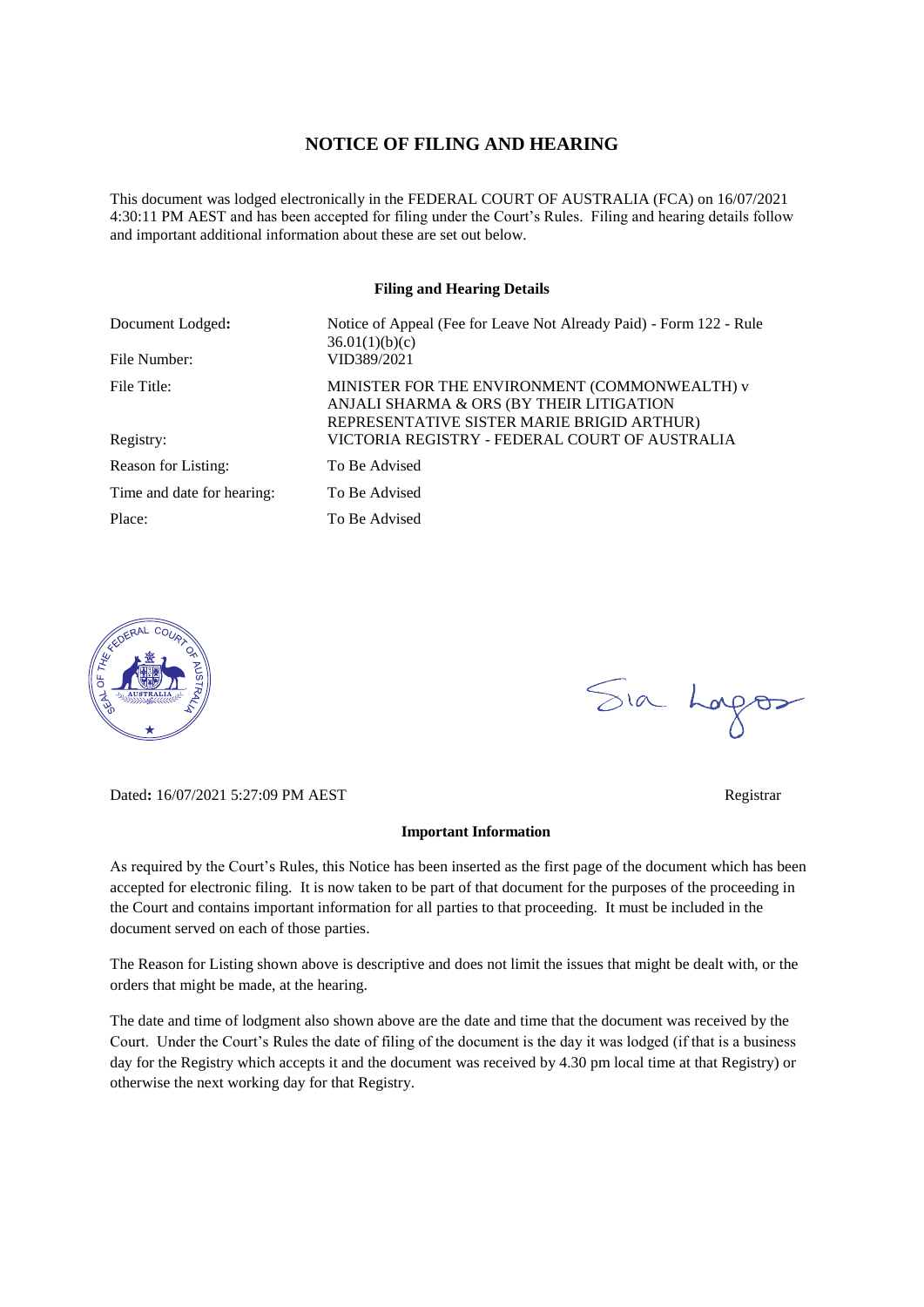### **NOTICE OF FILING AND HEARING**

This document was lodged electronically in the FEDERAL COURT OF AUSTRALIA (FCA) on 16/07/2021 4:30:11 PM AEST and has been accepted for filing under the Court's Rules. Filing and hearing details follow and important additional information about these are set out below.

#### **Filing and Hearing Details**

| Document Lodged:           | Notice of Appeal (Fee for Leave Not Already Paid) - Form 122 - Rule<br>36.01(1)(b)(c)                                                   |
|----------------------------|-----------------------------------------------------------------------------------------------------------------------------------------|
| File Number:               | VID389/2021                                                                                                                             |
| File Title:                | MINISTER FOR THE ENVIRONMENT (COMMONWEALTH) v<br>ANJALI SHARMA & ORS (BY THEIR LITIGATION<br>REPRESENTATIVE SISTER MARIE BRIGID ARTHUR) |
| Registry:                  | VICTORIA REGISTRY - FEDERAL COURT OF AUSTRALIA                                                                                          |
| Reason for Listing:        | To Be Advised                                                                                                                           |
| Time and date for hearing: | To Be Advised                                                                                                                           |
| Place:                     | To Be Advised                                                                                                                           |



Dated**:** 16/07/2021 5:27:09 PM AEST Registrar

# Sia Logos

#### **Important Information**

As required by the Court's Rules, this Notice has been inserted as the first page of the document which has been accepted for electronic filing. It is now taken to be part of that document for the purposes of the proceeding in the Court and contains important information for all parties to that proceeding. It must be included in the document served on each of those parties.

The Reason for Listing shown above is descriptive and does not limit the issues that might be dealt with, or the orders that might be made, at the hearing.

The date and time of lodgment also shown above are the date and time that the document was received by the Court. Under the Court's Rules the date of filing of the document is the day it was lodged (if that is a business day for the Registry which accepts it and the document was received by 4.30 pm local time at that Registry) or otherwise the next working day for that Registry.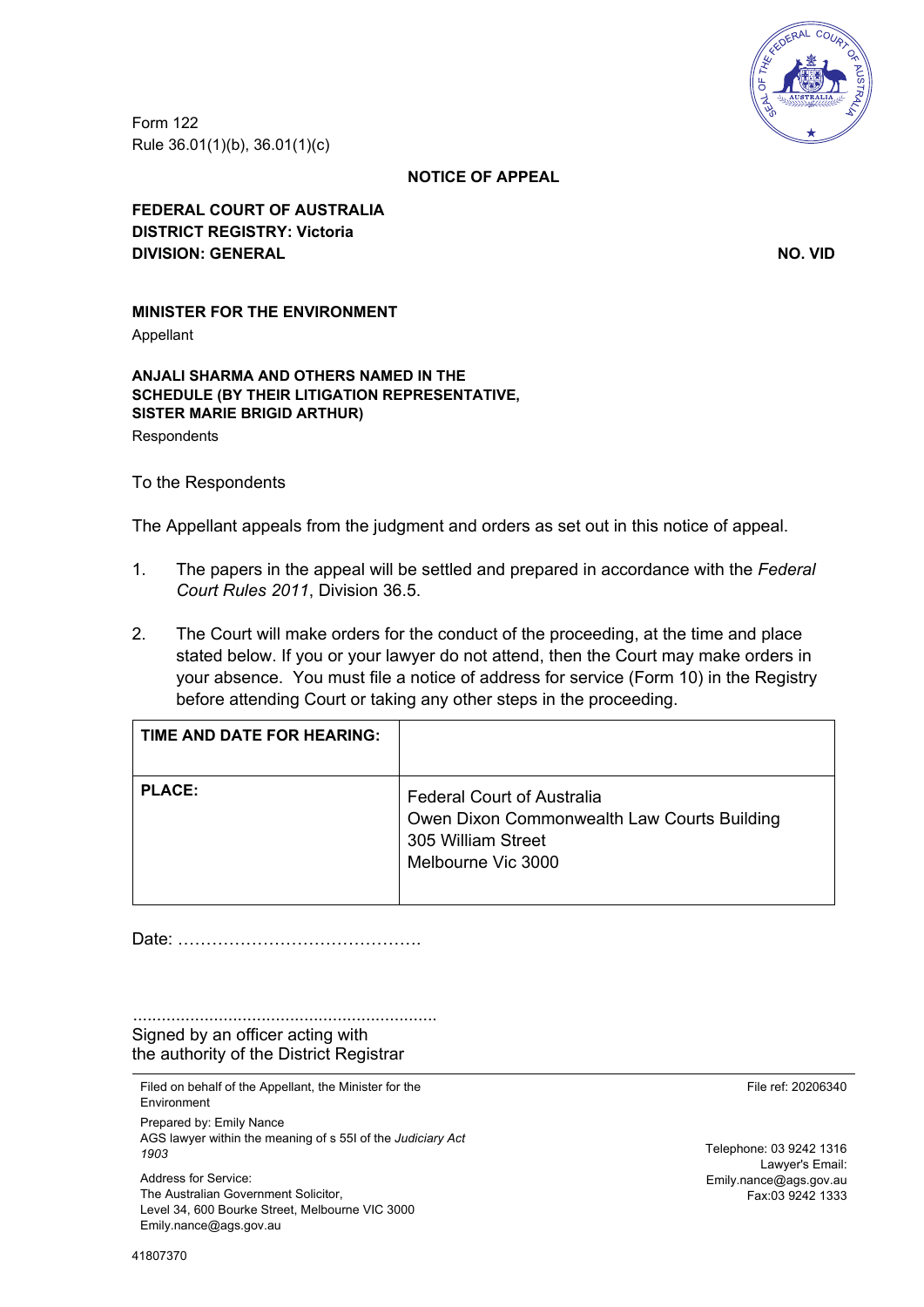Form 122 Rule 36.01(1)(b), 36.01(1)(c)



#### **NOTICE OF APPEAL**

**FEDERAL COURT OF AUSTRALIA DISTRICT REGISTRY: Victoria DIVISION: GENERAL NO. VID**

# **MINISTER FOR THE ENVIRONMENT**

Appellant

**ANJALI SHARMA AND OTHERS NAMED IN THE SCHEDULE (BY THEIR LITIGATION REPRESENTATIVE, SISTER MARIE BRIGID ARTHUR) Respondents** 

To the Respondents

The Appellant appeals from the judgment and orders as set out in this notice of appeal.

- 1. The papers in the appeal will be settled and prepared in accordance with the *Federal Court Rules 2011*, Division 36.5.
- 2. The Court will make orders for the conduct of the proceeding, at the time and place stated below. If you or your lawyer do not attend, then the Court may make orders in your absence. You must file a notice of address for service (Form 10) in the Registry before attending Court or taking any other steps in the proceeding.

| TIME AND DATE FOR HEARING: |                                                                                                                              |
|----------------------------|------------------------------------------------------------------------------------------------------------------------------|
| <b>PLACE:</b>              | <b>Federal Court of Australia</b><br>Owen Dixon Commonwealth Law Courts Building<br>305 William Street<br>Melbourne Vic 3000 |

Date: …………………………………….

................................................................ Signed by an officer acting with the authority of the District Registrar

Filed on behalf of the Appellant, the Minister for the Environment Prepared by: Emily Nance AGS lawyer within the meaning of s 55I of the *Judiciary Act 1903* Address for Service: The Australian Government Solicitor, Level 34, 600 Bourke Street, Melbourne VIC 3000 Emily.nance@ags.gov.au

File ref: 20206340

Telephone: 03 9242 1316 Lawyer's Email: Emily.nance@ags.gov.au Fax:03 9242 1333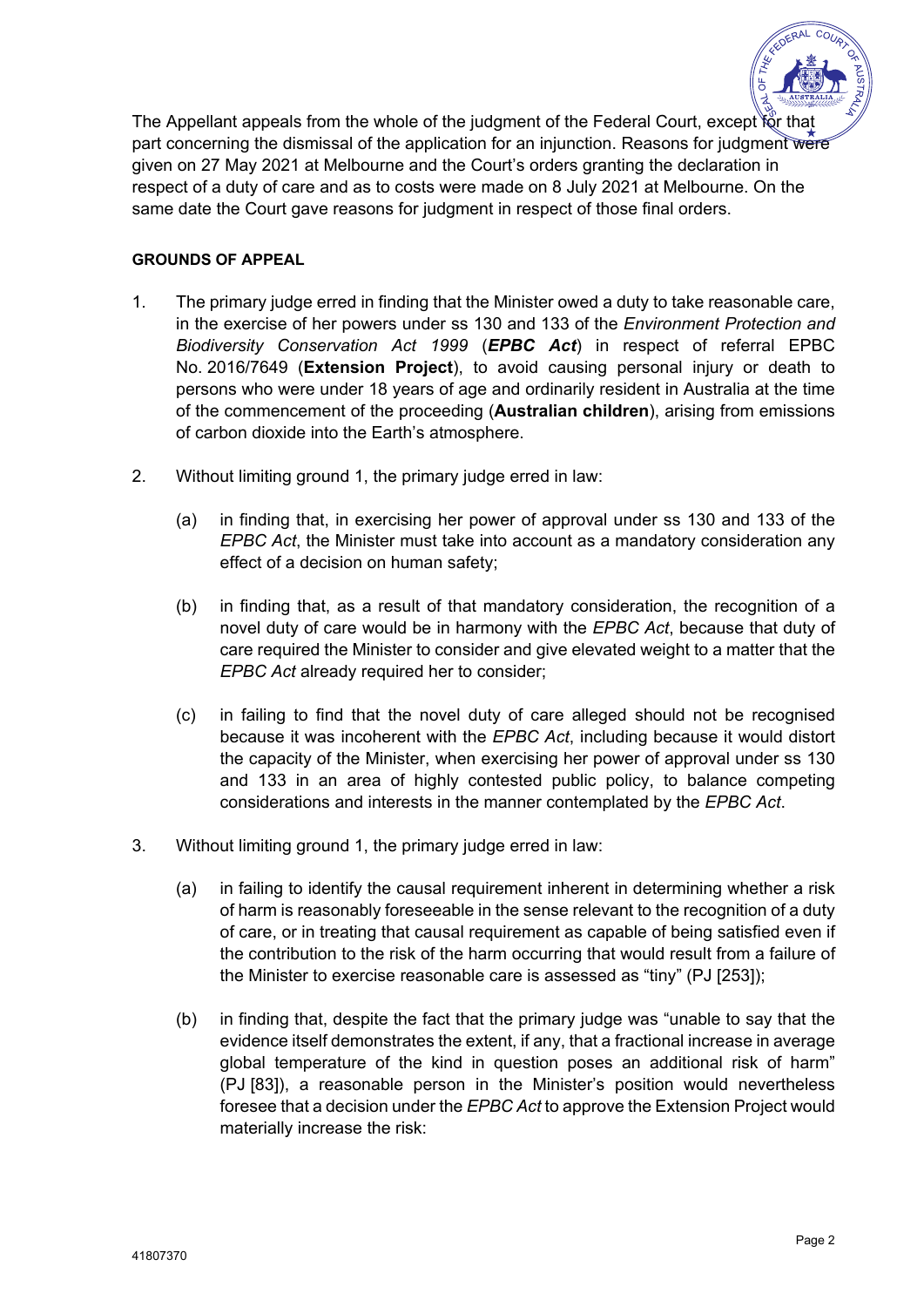

The Appellant appeals from the whole of the judgment of the Federal Court, except for that part concerning the dismissal of the application for an injunction. Reasons for judgment were given on 27 May 2021 at Melbourne and the Court's orders granting the declaration in respect of a duty of care and as to costs were made on 8 July 2021 at Melbourne. On the same date the Court gave reasons for judgment in respect of those final orders.

## **GROUNDS OF APPEAL**

- 1. The primary judge erred in finding that the Minister owed a duty to take reasonable care, in the exercise of her powers under ss 130 and 133 of the *Environment Protection and Biodiversity Conservation Act 1999* (*EPBC Act*) in respect of referral EPBC No. 2016/7649 (**Extension Project**), to avoid causing personal injury or death to persons who were under 18 years of age and ordinarily resident in Australia at the time of the commencement of the proceeding (**Australian children**), arising from emissions of carbon dioxide into the Earth's atmosphere.
- 2. Without limiting ground 1, the primary judge erred in law:
	- (a) in finding that, in exercising her power of approval under ss 130 and 133 of the *EPBC Act*, the Minister must take into account as a mandatory consideration any effect of a decision on human safety;
	- (b) in finding that, as a result of that mandatory consideration, the recognition of a novel duty of care would be in harmony with the *EPBC Act*, because that duty of care required the Minister to consider and give elevated weight to a matter that the *EPBC Act* already required her to consider;
	- (c) in failing to find that the novel duty of care alleged should not be recognised because it was incoherent with the *EPBC Act*, including because it would distort the capacity of the Minister, when exercising her power of approval under ss 130 and 133 in an area of highly contested public policy, to balance competing considerations and interests in the manner contemplated by the *EPBC Act*.
- 3. Without limiting ground 1, the primary judge erred in law:
	- (a) in failing to identify the causal requirement inherent in determining whether a risk of harm is reasonably foreseeable in the sense relevant to the recognition of a duty of care, or in treating that causal requirement as capable of being satisfied even if the contribution to the risk of the harm occurring that would result from a failure of the Minister to exercise reasonable care is assessed as "tiny" (PJ [253]);
	- (b) in finding that, despite the fact that the primary judge was "unable to say that the evidence itself demonstrates the extent, if any, that a fractional increase in average global temperature of the kind in question poses an additional risk of harm" (PJ [83]), a reasonable person in the Minister's position would nevertheless foresee that a decision under the *EPBC Act* to approve the Extension Project would materially increase the risk: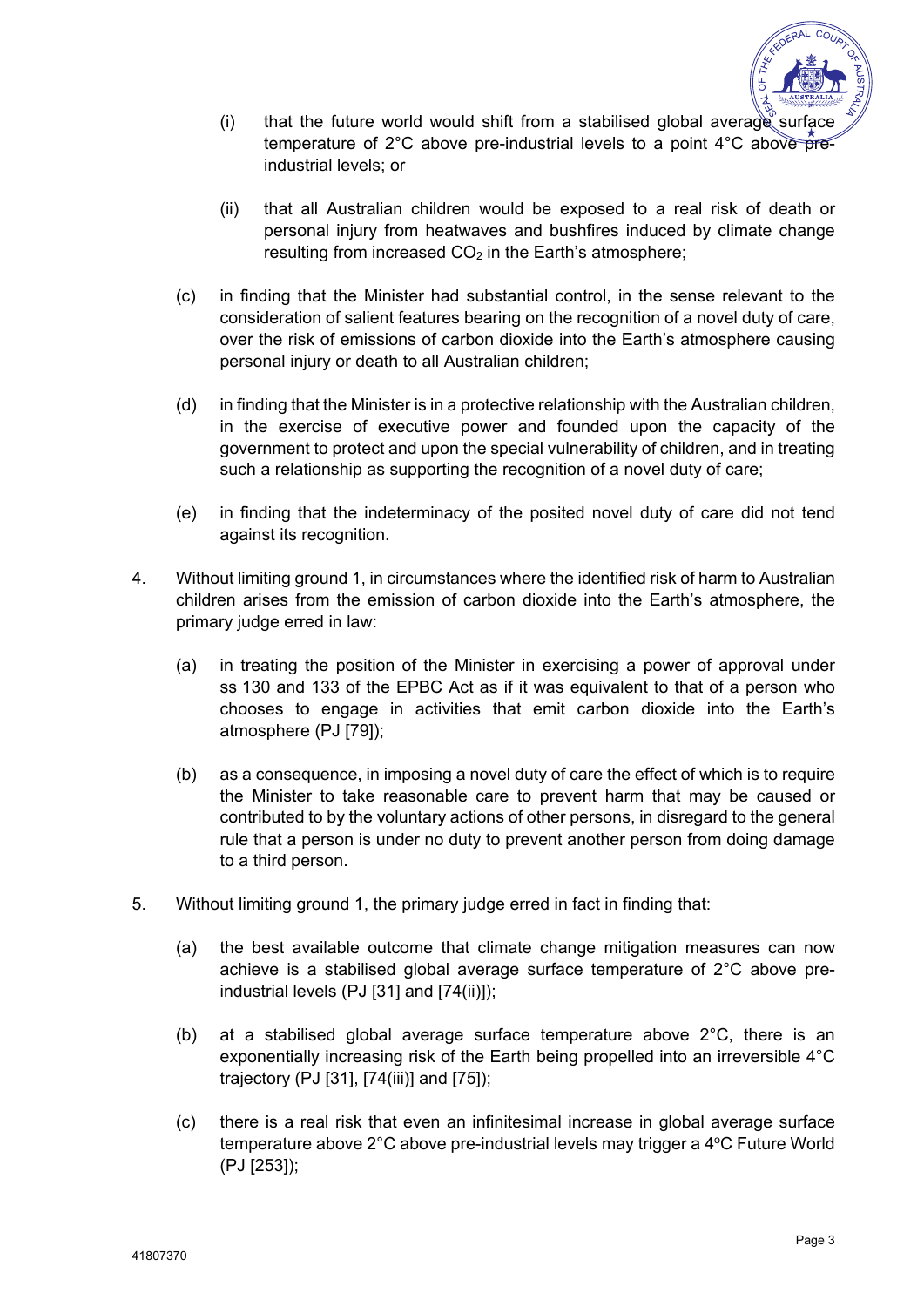

- (i) that the future world would shift from a stabilised global average surface temperature of 2°C above pre-industrial levels to a point 4°C above  $\widehat{pre}$ industrial levels; or
- (ii) that all Australian children would be exposed to a real risk of death or personal injury from heatwaves and bushfires induced by climate change resulting from increased  $CO<sub>2</sub>$  in the Earth's atmosphere;
- (c) in finding that the Minister had substantial control, in the sense relevant to the consideration of salient features bearing on the recognition of a novel duty of care, over the risk of emissions of carbon dioxide into the Earth's atmosphere causing personal injury or death to all Australian children;
- (d) in finding that the Minister is in a protective relationship with the Australian children, in the exercise of executive power and founded upon the capacity of the government to protect and upon the special vulnerability of children, and in treating such a relationship as supporting the recognition of a novel duty of care;
- (e) in finding that the indeterminacy of the posited novel duty of care did not tend against its recognition.
- 4. Without limiting ground 1, in circumstances where the identified risk of harm to Australian children arises from the emission of carbon dioxide into the Earth's atmosphere, the primary judge erred in law:
	- (a) in treating the position of the Minister in exercising a power of approval under ss 130 and 133 of the EPBC Act as if it was equivalent to that of a person who chooses to engage in activities that emit carbon dioxide into the Earth's atmosphere (PJ [79]);
	- (b) as a consequence, in imposing a novel duty of care the effect of which is to require the Minister to take reasonable care to prevent harm that may be caused or contributed to by the voluntary actions of other persons, in disregard to the general rule that a person is under no duty to prevent another person from doing damage to a third person.
- 5. Without limiting ground 1, the primary judge erred in fact in finding that:
	- (a) the best available outcome that climate change mitigation measures can now achieve is a stabilised global average surface temperature of 2°C above preindustrial levels (PJ [31] and [74(ii)]);
	- (b) at a stabilised global average surface temperature above 2°C, there is an exponentially increasing risk of the Earth being propelled into an irreversible 4°C trajectory (PJ [31], [74(iii)] and [75]);
	- (c) there is a real risk that even an infinitesimal increase in global average surface temperature above 2°C above pre-industrial levels may trigger a 4°C Future World (PJ [253]);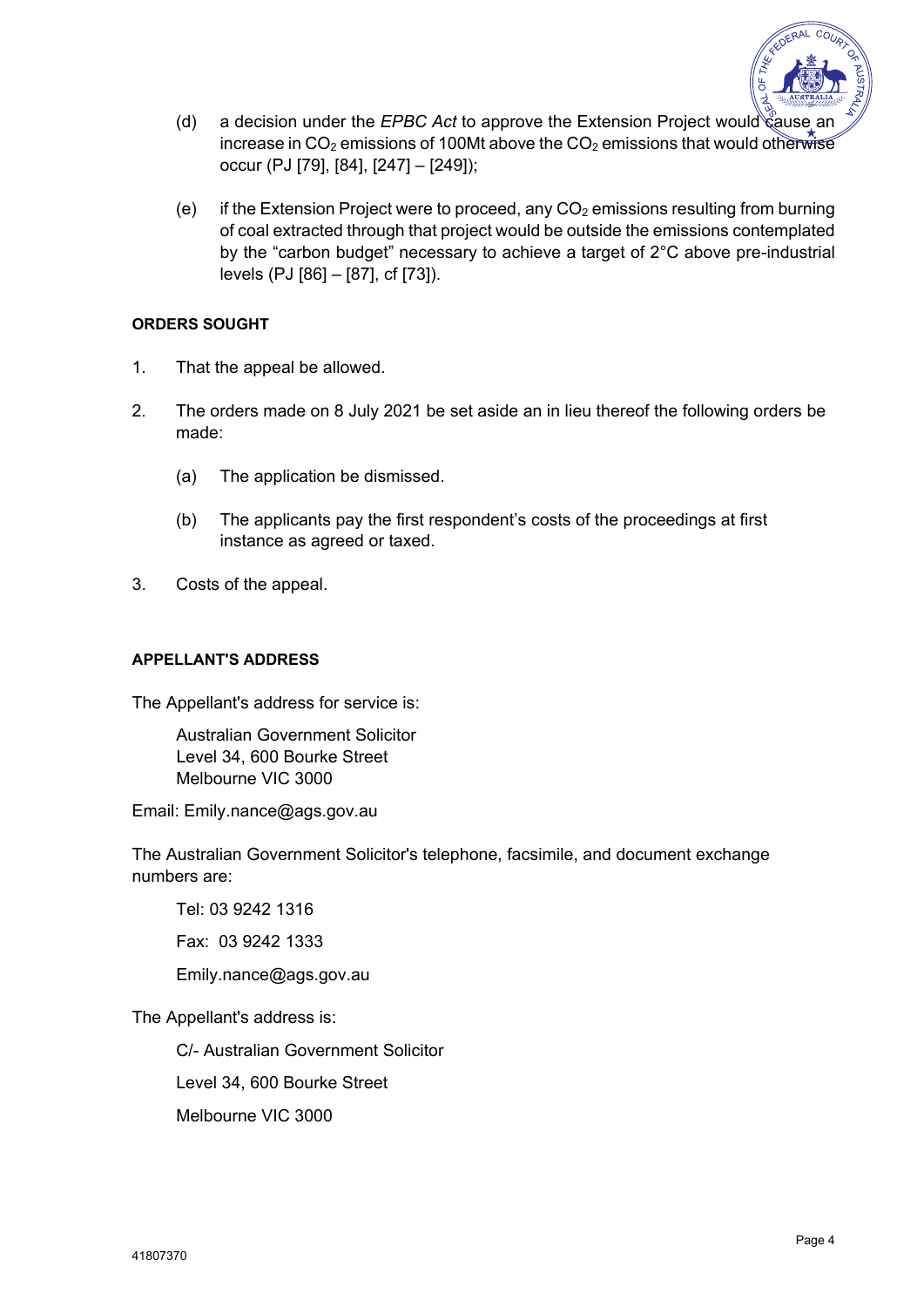

- (d) a decision under the *EPBC Act* to approve the Extension Project would  $\mathcal{C}$  ause increase in CO<sub>2</sub> emissions of 100Mt above the CO<sub>2</sub> emissions that would otherwise occur (PJ [79], [84], [247] – [249]);
- (e) if the Extension Project were to proceed, any  $CO<sub>2</sub>$  emissions resulting from burning of coal extracted through that project would be outside the emissions contemplated by the "carbon budget" necessary to achieve a target of 2°C above pre-industrial levels (PJ [86] – [87], cf [73]).

### **ORDERS SOUGHT**

- 1. That the appeal be allowed.
- 2. The orders made on 8 July 2021 be set aside an in lieu thereof the following orders be made:
	- (a) The application be dismissed.
	- (b) The applicants pay the first respondent's costs of the proceedings at first instance as agreed or taxed.
- 3. Costs of the appeal.

## **APPELLANT'S ADDRESS**

The Appellant's address for service is:

Australian Government Solicitor Level 34, 600 Bourke Street Melbourne VIC 3000

Email: Emily.nance@ags.gov.au

The Australian Government Solicitor's telephone, facsimile, and document exchange numbers are:

Tel: 03 9242 1316

Fax: 03 9242 1333

Emily.nance@ags.gov.au

The Appellant's address is:

C/- Australian Government Solicitor

Level 34, 600 Bourke Street

Melbourne VIC 3000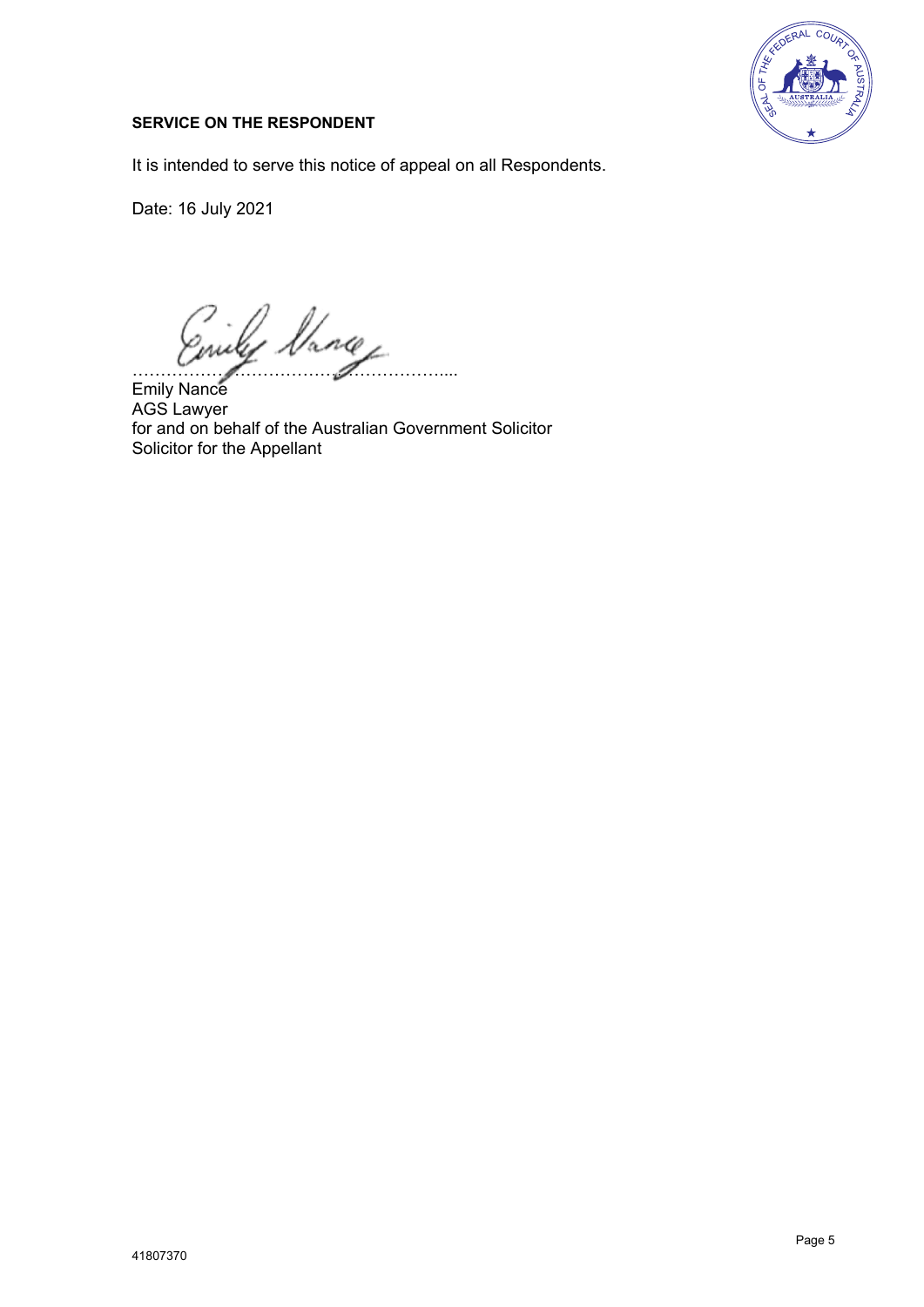

## **SERVICE ON THE RESPONDENT**

It is intended to serve this notice of appeal on all Respondents.

Date: 16 July 2021

ly Vance ………

Emily Nance AGS Lawyer for and on behalf of the Australian Government Solicitor Solicitor for the Appellant